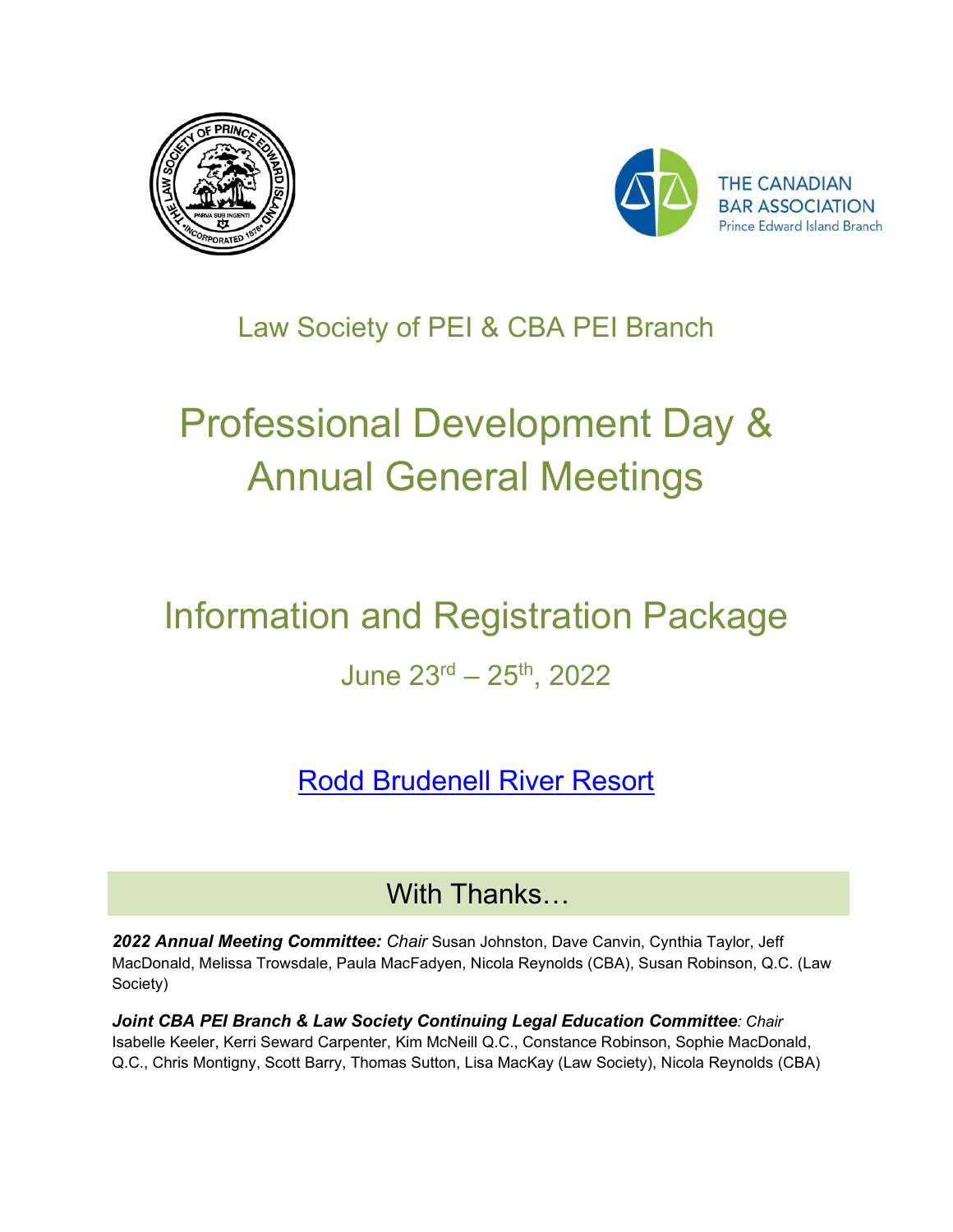



### Law Society of PEI & CBA PEI Branch

# Professional Development Day & Annual General Meetings

## Information and Registration Package June  $23^{rd} - 25^{th}$ , 2022

[Rodd Brudenell River Resort](https://roddvacations.com/hotels/rodd-brudenell-river/)

#### With Thanks…

*2022 Annual Meeting Committee: Chair* Susan Johnston, Dave Canvin, Cynthia Taylor, Jeff MacDonald, Melissa Trowsdale, Paula MacFadyen, Nicola Reynolds (CBA), Susan Robinson, Q.C. (Law Society)

*Joint CBA PEI Branch & Law Society Continuing Legal Education Committee: Chair*  Isabelle Keeler, Kerri Seward Carpenter, Kim McNeill Q.C., Constance Robinson, Sophie MacDonald, Q.C., Chris Montigny, Scott Barry, Thomas Sutton, Lisa MacKay (Law Society), Nicola Reynolds (CBA)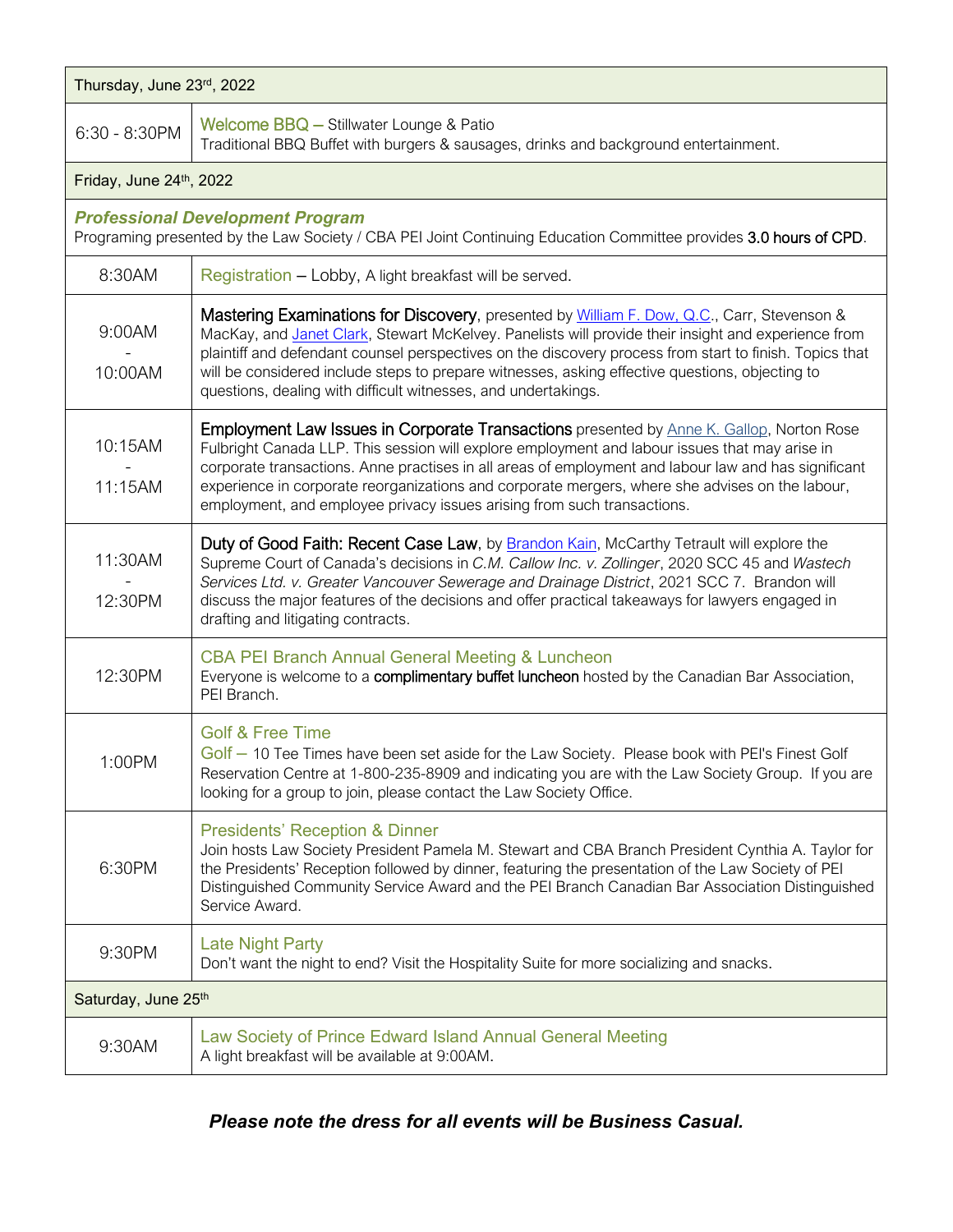| Thursday, June 23rd, 2022                                                                                                                                    |                                                                                                                                                                                                                                                                                                                                                                                                                                                                                         |  |  |  |  |
|--------------------------------------------------------------------------------------------------------------------------------------------------------------|-----------------------------------------------------------------------------------------------------------------------------------------------------------------------------------------------------------------------------------------------------------------------------------------------------------------------------------------------------------------------------------------------------------------------------------------------------------------------------------------|--|--|--|--|
| 6:30 - 8:30PM                                                                                                                                                | Welcome BBQ - Stillwater Lounge & Patio<br>Traditional BBQ Buffet with burgers & sausages, drinks and background entertainment.                                                                                                                                                                                                                                                                                                                                                         |  |  |  |  |
| Friday, June 24th, 2022                                                                                                                                      |                                                                                                                                                                                                                                                                                                                                                                                                                                                                                         |  |  |  |  |
| <b>Professional Development Program</b><br>Programing presented by the Law Society / CBA PEI Joint Continuing Education Committee provides 3.0 hours of CPD. |                                                                                                                                                                                                                                                                                                                                                                                                                                                                                         |  |  |  |  |
| 8:30AM                                                                                                                                                       | Registration - Lobby, A light breakfast will be served.                                                                                                                                                                                                                                                                                                                                                                                                                                 |  |  |  |  |
| 9:00AM<br>10:00AM                                                                                                                                            | Mastering Examinations for Discovery, presented by William F. Dow, Q.C., Carr, Stevenson &<br>MacKay, and Janet Clark, Stewart McKelvey. Panelists will provide their insight and experience from<br>plaintiff and defendant counsel perspectives on the discovery process from start to finish. Topics that<br>will be considered include steps to prepare witnesses, asking effective questions, objecting to<br>questions, dealing with difficult witnesses, and undertakings.       |  |  |  |  |
| 10:15AM<br>11:15AM                                                                                                                                           | <b>Employment Law Issues in Corporate Transactions</b> presented by Anne K. Gallop, Norton Rose<br>Fulbright Canada LLP. This session will explore employment and labour issues that may arise in<br>corporate transactions. Anne practises in all areas of employment and labour law and has significant<br>experience in corporate reorganizations and corporate mergers, where she advises on the labour,<br>employment, and employee privacy issues arising from such transactions. |  |  |  |  |
| 11:30AM<br>12:30PM                                                                                                                                           | Duty of Good Faith: Recent Case Law, by <b>Brandon Kain</b> , McCarthy Tetrault will explore the<br>Supreme Court of Canada's decisions in C.M. Callow Inc. v. Zollinger, 2020 SCC 45 and Wastech<br>Services Ltd. v. Greater Vancouver Sewerage and Drainage District, 2021 SCC 7. Brandon will<br>discuss the major features of the decisions and offer practical takeaways for lawyers engaged in<br>drafting and litigating contracts.                                              |  |  |  |  |
| 12:30PM                                                                                                                                                      | <b>CBA PEI Branch Annual General Meeting &amp; Luncheon</b><br>Everyone is welcome to a complimentary buffet luncheon hosted by the Canadian Bar Association,<br>PEI Branch.                                                                                                                                                                                                                                                                                                            |  |  |  |  |
| 1:00PM                                                                                                                                                       | <b>Golf &amp; Free Time</b><br>Golf - 10 Tee Times have been set aside for the Law Society. Please book with PEI's Finest Golf<br>Reservation Centre at 1-800-235-8909 and indicating you are with the Law Society Group. If you are<br>looking for a group to join, please contact the Law Society Office.                                                                                                                                                                             |  |  |  |  |
| 6:30PM                                                                                                                                                       | <b>Presidents' Reception &amp; Dinner</b><br>Join hosts Law Society President Pamela M. Stewart and CBA Branch President Cynthia A. Taylor for<br>the Presidents' Reception followed by dinner, featuring the presentation of the Law Society of PEI<br>Distinguished Community Service Award and the PEI Branch Canadian Bar Association Distinguished<br>Service Award.                                                                                                               |  |  |  |  |
| 9:30PM                                                                                                                                                       | <b>Late Night Party</b><br>Don't want the night to end? Visit the Hospitality Suite for more socializing and snacks.                                                                                                                                                                                                                                                                                                                                                                    |  |  |  |  |
| Saturday, June 25th                                                                                                                                          |                                                                                                                                                                                                                                                                                                                                                                                                                                                                                         |  |  |  |  |
| 9:30AM                                                                                                                                                       | Law Society of Prince Edward Island Annual General Meeting<br>A light breakfast will be available at 9:00AM.                                                                                                                                                                                                                                                                                                                                                                            |  |  |  |  |

#### *Please note the dress for all events will be Business Casual.*